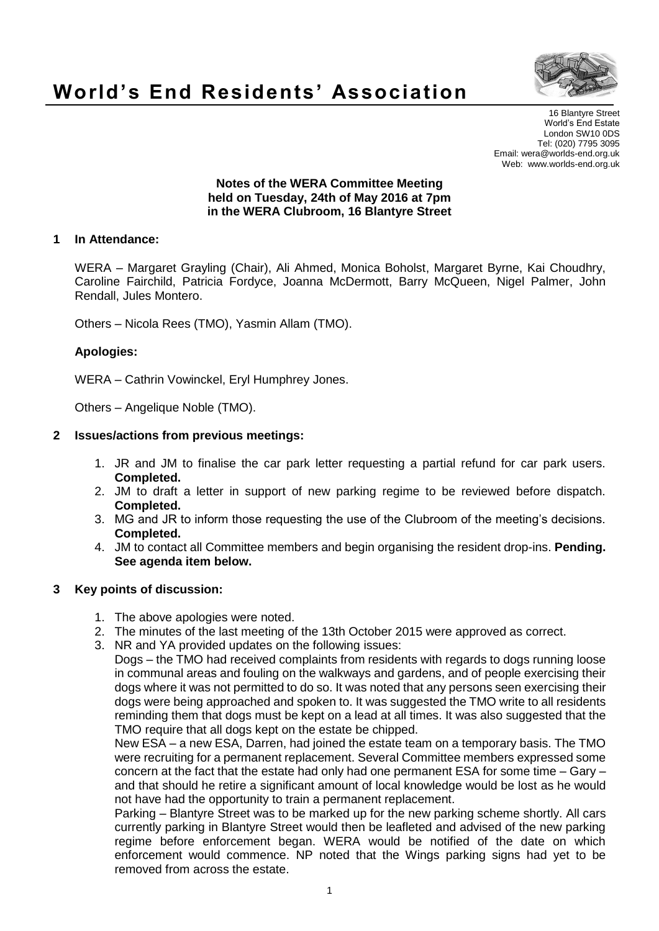

# **World's End Residents' Association**

16 Blantyre Street World's End Estate London SW10 0DS Tel: (020) 7795 3095 Email: wera@worlds-end.org.uk Web: www.worlds-end.org.uk

#### **Notes of the WERA Committee Meeting held on Tuesday, 24th of May 2016 at 7pm in the WERA Clubroom, 16 Blantyre Street**

## **1 In Attendance:**

WERA – Margaret Grayling (Chair), Ali Ahmed, Monica Boholst, Margaret Byrne, Kai Choudhry, Caroline Fairchild, Patricia Fordyce, Joanna McDermott, Barry McQueen, Nigel Palmer, John Rendall, Jules Montero.

Others – Nicola Rees (TMO), Yasmin Allam (TMO).

## **Apologies:**

WERA – Cathrin Vowinckel, Eryl Humphrey Jones.

Others – Angelique Noble (TMO).

## **2 Issues/actions from previous meetings:**

- 1. JR and JM to finalise the car park letter requesting a partial refund for car park users. **Completed.**
- 2. JM to draft a letter in support of new parking regime to be reviewed before dispatch. **Completed.**
- 3. MG and JR to inform those requesting the use of the Clubroom of the meeting's decisions. **Completed.**
- 4. JM to contact all Committee members and begin organising the resident drop-ins. **Pending. See agenda item below.**

### **3 Key points of discussion:**

- 1. The above apologies were noted.
- 2. The minutes of the last meeting of the 13th October 2015 were approved as correct.
- 3. NR and YA provided updates on the following issues:

Dogs – the TMO had received complaints from residents with regards to dogs running loose in communal areas and fouling on the walkways and gardens, and of people exercising their dogs where it was not permitted to do so. It was noted that any persons seen exercising their dogs were being approached and spoken to. It was suggested the TMO write to all residents reminding them that dogs must be kept on a lead at all times. It was also suggested that the TMO require that all dogs kept on the estate be chipped.

New ESA – a new ESA, Darren, had joined the estate team on a temporary basis. The TMO were recruiting for a permanent replacement. Several Committee members expressed some concern at the fact that the estate had only had one permanent ESA for some time – Gary – and that should he retire a significant amount of local knowledge would be lost as he would not have had the opportunity to train a permanent replacement.

Parking – Blantyre Street was to be marked up for the new parking scheme shortly. All cars currently parking in Blantyre Street would then be leafleted and advised of the new parking regime before enforcement began. WERA would be notified of the date on which enforcement would commence. NP noted that the Wings parking signs had yet to be removed from across the estate.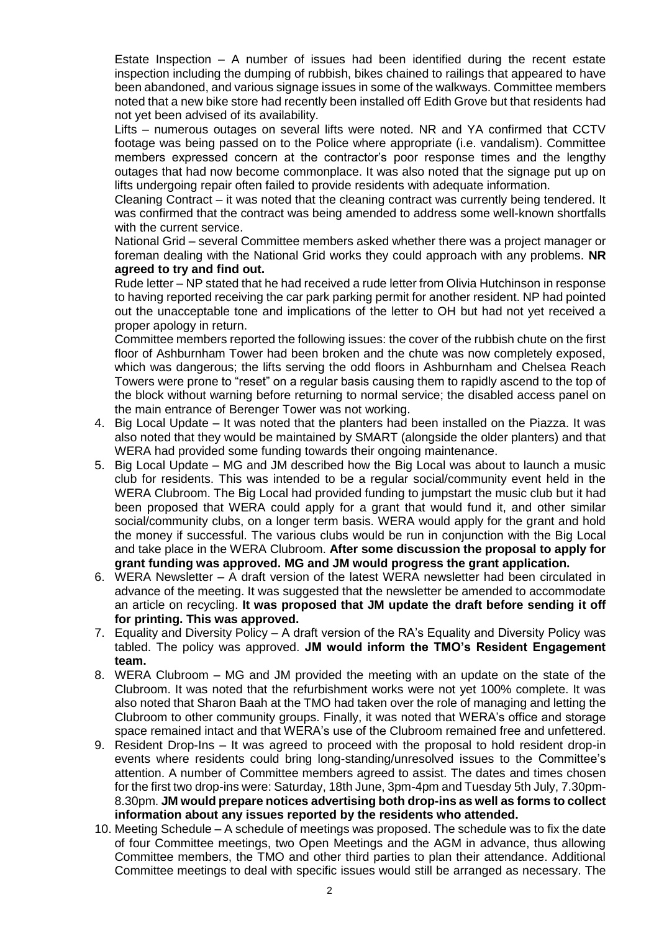Estate Inspection – A number of issues had been identified during the recent estate inspection including the dumping of rubbish, bikes chained to railings that appeared to have been abandoned, and various signage issues in some of the walkways. Committee members noted that a new bike store had recently been installed off Edith Grove but that residents had not yet been advised of its availability.

Lifts – numerous outages on several lifts were noted. NR and YA confirmed that CCTV footage was being passed on to the Police where appropriate (i.e. vandalism). Committee members expressed concern at the contractor's poor response times and the lengthy outages that had now become commonplace. It was also noted that the signage put up on lifts undergoing repair often failed to provide residents with adequate information.

Cleaning Contract – it was noted that the cleaning contract was currently being tendered. It was confirmed that the contract was being amended to address some well-known shortfalls with the current service.

National Grid – several Committee members asked whether there was a project manager or foreman dealing with the National Grid works they could approach with any problems. **NR agreed to try and find out.**

Rude letter – NP stated that he had received a rude letter from Olivia Hutchinson in response to having reported receiving the car park parking permit for another resident. NP had pointed out the unacceptable tone and implications of the letter to OH but had not yet received a proper apology in return.

Committee members reported the following issues: the cover of the rubbish chute on the first floor of Ashburnham Tower had been broken and the chute was now completely exposed, which was dangerous; the lifts serving the odd floors in Ashburnham and Chelsea Reach Towers were prone to "reset" on a regular basis causing them to rapidly ascend to the top of the block without warning before returning to normal service; the disabled access panel on the main entrance of Berenger Tower was not working.

- 4. Big Local Update It was noted that the planters had been installed on the Piazza. It was also noted that they would be maintained by SMART (alongside the older planters) and that WERA had provided some funding towards their ongoing maintenance.
- 5. Big Local Update MG and JM described how the Big Local was about to launch a music club for residents. This was intended to be a regular social/community event held in the WERA Clubroom. The Big Local had provided funding to jumpstart the music club but it had been proposed that WERA could apply for a grant that would fund it, and other similar social/community clubs, on a longer term basis. WERA would apply for the grant and hold the money if successful. The various clubs would be run in conjunction with the Big Local and take place in the WERA Clubroom. **After some discussion the proposal to apply for grant funding was approved. MG and JM would progress the grant application.**
- 6. WERA Newsletter A draft version of the latest WERA newsletter had been circulated in advance of the meeting. It was suggested that the newsletter be amended to accommodate an article on recycling. **It was proposed that JM update the draft before sending it off for printing. This was approved.**
- 7. Equality and Diversity Policy A draft version of the RA's Equality and Diversity Policy was tabled. The policy was approved. **JM would inform the TMO's Resident Engagement team.**
- 8. WERA Clubroom MG and JM provided the meeting with an update on the state of the Clubroom. It was noted that the refurbishment works were not yet 100% complete. It was also noted that Sharon Baah at the TMO had taken over the role of managing and letting the Clubroom to other community groups. Finally, it was noted that WERA's office and storage space remained intact and that WERA's use of the Clubroom remained free and unfettered.
- 9. Resident Drop-Ins It was agreed to proceed with the proposal to hold resident drop-in events where residents could bring long-standing/unresolved issues to the Committee's attention. A number of Committee members agreed to assist. The dates and times chosen for the first two drop-ins were: Saturday, 18th June, 3pm-4pm and Tuesday 5th July, 7.30pm-8.30pm. **JM would prepare notices advertising both drop-ins as well as forms to collect information about any issues reported by the residents who attended.**
- 10. Meeting Schedule A schedule of meetings was proposed. The schedule was to fix the date of four Committee meetings, two Open Meetings and the AGM in advance, thus allowing Committee members, the TMO and other third parties to plan their attendance. Additional Committee meetings to deal with specific issues would still be arranged as necessary. The